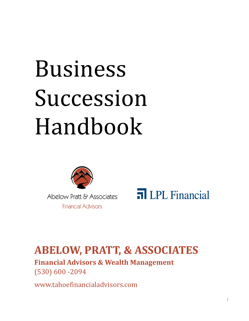# Business Succession Handbook



Abelow Pratt & Associates **Financial Advisors** 



### **ABELOW, PRATT, & ASSOCIATES**

**Financial Advisors & Wealth Management** (530) 600 ‐2094

www.tahoefinancialadvisors.com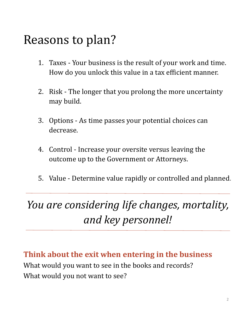### Reasons to plan?

- 1. Taxes Your business is the result of your work and time. How do you unlock this value in a tax efficient manner.
- 2. Risk The longer that you prolong the more uncertainty may build.
- 3. Options As time passes your potential choices can decrease.
- 4. Control Increase your oversite versus leaving the outcome up to the Government or Attorneys.
- 5. Value Determine value rapidly or controlled and planned.

### *You are considering life changes, mortality, and key personnel!*

**Think about the exit when entering in the business** What would you want to see in the books and records? What would you not want to see?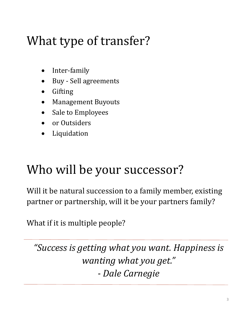# What type of transfer?

- Inter‐family
- Buy Sell agreements
- Gifting
- **Management Buyouts**
- Sale to Employees
- or Outsiders
- Liquidation

### Who will be your successor?

Will it be natural succession to a family member, existing partner or partnership, will it be your partners family?

What if it is multiple people?

*"Success is getting what you want. Happiness is wanting what you get." ‐ Dale Carnegie*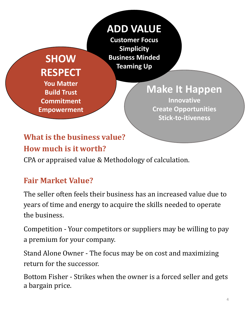#### **SHOW RESPECT You Matter Build Trust**

**Commitment**

**Empowerment**

**ADD VALUE Customer Focus Simplicity Business Minded Teaming Up**

**Make It Happen**

**Innovative Create Opportunities Stick‐to‐itiveness**

### **What is the business value?**

#### **How much is it worth?**

CPA or appraised value & Methodology of calculation.

#### **Fair Market Value?**

The seller often feels their business has an increased value due to years of time and energy to acquire the skills needed to operate the business.

Competition - Your competitors or suppliers may be willing to pay a premium for your company.

Stand Alone Owner - The focus may be on cost and maximizing return for the successor.

Bottom Fisher - Strikes when the owner is a forced seller and gets a bargain price.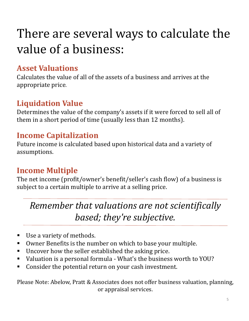# There are several ways to calculate the value of a business:

#### **Asset Valuations**

Calculates the value of all of the assets of a business and arrives at the appropriate price.

#### **Liquidation Value**

Determines the value of the company's assets if it were forced to sell all of them in a short period of time (usually less than 12 months).

#### **Income Capitalization**

Future income is calculated based upon historical data and a variety of assumptions.

#### **Income Multiple**

The net income (profit/owner's benefit/seller's cash flow) of a business is subject to a certain multiple to arrive at a selling price.

*Remember that valuations are not scientifically based; they're subjective.*

- Use a variety of methods.
- Owner Benefits is the number on which to base your multiple.
- $\blacksquare$  Uncover how the seller established the asking price.
- Valuation is a personal formula What's the business worth to YOU?
- Consider the potential return on your cash investment.

Please Note: Abelow, Pratt & Associates does not offer business valuation, planning, or appraisal services.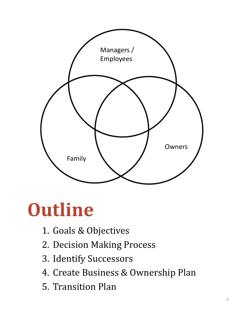

# **Outline**

- 1. Goals & Objectives
- 2. Decision Making Process
- 3. Identify Successors
- 4. Create Business & Ownership Plan
- 5. Transition Plan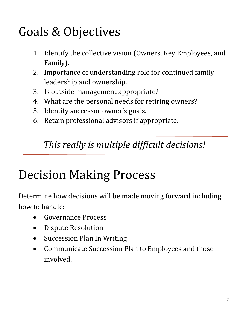### Goals & Objectives

- 1. Identify the collective vision (Owners, Key Employees, and Family).
- 2. Importance of understanding role for continued family leadership and ownership.
- 3. Is outside management appropriate?
- 4. What are the personal needs for retiring owners?
- 5. Identify successor owner's goals.
- 6. Retain professional advisors if appropriate.

#### *This really is multiple difficult decisions!*

### Decision Making Process

Determine how decisions will be made moving forward including how to handle:

- Governance Process
- Dispute Resolution
- Succession Plan In Writing
- Communicate Succession Plan to Employees and those involved.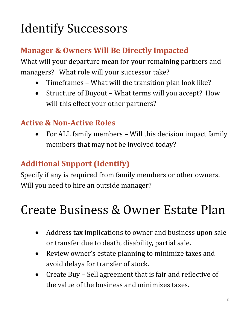# **Identify Successors**

#### **Manager & Owners Will Be Directly Impacted**

What will your departure mean for your remaining partners and managers? What role will your successor take?

- Timeframes What will the transition plan look like?
- Structure of Buyout What terms will you accept? How will this effect your other partners?

#### **Active & Non‐Active Roles**

For ALL family members – Will this decision impact family members that may not be involved today?

#### **Additional Support (Identify)**

Specify if any is required from family members or other owners. Will you need to hire an outside manager?

### Create Business & Owner Estate Plan

- Address tax implications to owner and business upon sale or transfer due to death, disability, partial sale.
- Review owner's estate planning to minimize taxes and avoid delays for transfer of stock.
- Create Buy Sell agreement that is fair and reflective of the value of the business and minimizes taxes.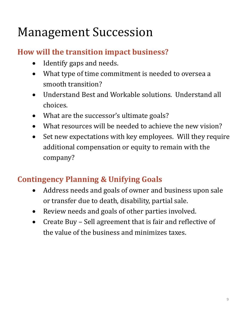### Management Succession

#### **How will the transition impact business?**

- Identify gaps and needs.
- What type of time commitment is needed to oversea a smooth transition?
- Understand Best and Workable solutions. Understand all choices.
- What are the successor's ultimate goals?
- What resources will be needed to achieve the new vision?
- Set new expectations with key employees. Will they require additional compensation or equity to remain with the company?

#### **Contingency Planning & Unifying Goals**

- Address needs and goals of owner and business upon sale or transfer due to death, disability, partial sale.
- Review needs and goals of other parties involved.
- Create Buy Sell agreement that is fair and reflective of the value of the business and minimizes taxes.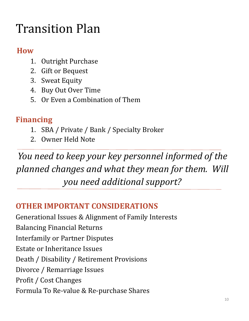### Transition Plan

#### **How**

- 1. Outright Purchase
- 2. Gift or Bequest
- 3. Sweat Equity
- 4. Buy Out Over Time
- 5. Or Even a Combination of Them

#### **Financing**

- 1. SBA / Private / Bank / Specialty Broker
- 2. Owner Held Note

*You need to keep your key personnel informed of the planned changes and what they mean for them. Will you need additional support?*

#### **OTHER IMPORTANT CONSIDERATIONS**

Generational Issues & Alignment of Family Interests **Balancing Financial Returns** Interfamily or Partner Disputes Estate or Inheritance Issues Death / Disability / Retirement Provisions Divorce / Remarriage Issues Profit / Cost Changes Formula To Re-value & Re-purchase Shares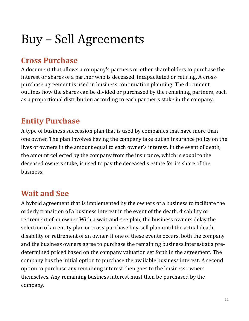# Buy - Sell Agreements

#### **Cross Purchase**

A document that allows a company's partners or other shareholders to purchase the interest or shares of a partner who is deceased, incapacitated or retiring. A crosspurchase agreement is used in business continuation planning. The document outlines how the shares can be divided or purchased by the remaining partners, such as a proportional distribution according to each partner's stake in the company.

#### **Entity Purchase**

A type of business succession plan that is used by companies that have more than one owner. The plan involves having the company take out an insurance policy on the lives of owners in the amount equal to each owner's interest. In the event of death, the amount collected by the company from the insurance, which is equal to the deceased owners stake, is used to pay the deceased's estate for its share of the business.

#### **Wait and See**

A hybrid agreement that is implemented by the owners of a business to facilitate the orderly transition of a business interest in the event of the death, disability or retirement of an owner. With a wait-and-see plan, the business owners delay the selection of an entity plan or cross-purchase buy-sell plan until the actual death, disability or retirement of an owner. If one of these events occurs, both the company and the business owners agree to purchase the remaining business interest at a predetermined priced based on the company valuation set forth in the agreement. The company has the initial option to purchase the available business interest. A second option to purchase any remaining interest then goes to the business owners themselves. Any remaining business interest must then be purchased by the company.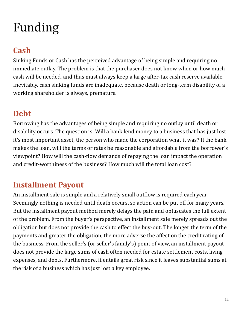# Funding

#### **Cash**

Sinking Funds or Cash has the perceived advantage of being simple and requiring no immediate outlay. The problem is that the purchaser does not know when or how much cash will be needed, and thus must always keep a large after-tax cash reserve available. Inevitably, cash sinking funds are inadequate, because death or long-term disability of a working shareholder is always, premature.

#### **Debt**

Borrowing has the advantages of being simple and requiring no outlay until death or disability occurs. The question is: Will a bank lend money to a business that has just lost it's most important asset, the person who made the corporation what it was? If the bank makes the loan, will the terms or rates be reasonable and affordable from the borrower's viewpoint? How will the cash-flow demands of repaying the loan impact the operation and credit-worthiness of the business? How much will the total loan cost?

#### **Installment Payout**

An installment sale is simple and a relatively small outflow is required each year. Seemingly nothing is needed until death occurs, so action can be put off for many years. But the installment payout method merely delays the pain and obfuscates the full extent of the problem. From the buyer's perspective, an installment sale merely spreads out the obligation but does not provide the cash to effect the buy-out. The longer the term of the payments and greater the obligation, the more adverse the affect on the credit rating of the business. From the seller's (or seller's family's) point of view, an installment payout does not provide the large sums of cash often needed for estate settlement costs, living expenses, and debts. Furthermore, it entails great risk since it leaves substantial sums at the risk of a business which has just lost a key employee.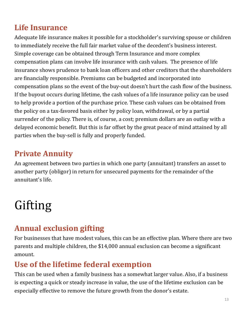#### **Life Insurance**

Adequate life insurance makes it possible for a stockholder's surviving spouse or children to immediately receive the full fair market value of the decedent's business interest. Simple coverage can be obtained through Term Insurance and more complex compensation plans can involve life insurance with cash values. The presence of life insurance shows prudence to bank loan officers and other creditors that the shareholders are financially responsible. Premiums can be budgeted and incorporated into compensation plans so the event of the buy-out doesn't hurt the cash flow of the business. If the buyout occurs during lifetime, the cash values of a life insurance policy can be used to help provide a portion of the purchase price. These cash values can be obtained from the policy on a tax-favored basis either by policy loan, withdrawal, or by a partial surrender of the policy. There is, of course, a cost; premium dollars are an outlay with a delayed economic benefit. But this is far offset by the great peace of mind attained by all parties when the buy-sell is fully and properly funded.

#### **Private Annuity**

An agreement between two parties in which one party (annuitant) transfers an asset to another party (obligor) in return for unsecured payments for the remainder of the annuitant's life.

# Gifting

#### **Annual exclusion gifting**

For businesses that have modest values, this can be an effective plan. Where there are two parents and multiple children, the \$14,000 annual exclusion can become a significant amount.

#### **Use of the lifetime federal exemption**

This can be used when a family business has a somewhat larger value. Also, if a business is expecting a quick or steady increase in value, the use of the lifetime exclusion can be especially effective to remove the future growth from the donor's estate.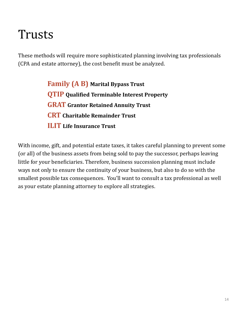### Trusts

These methods will require more sophisticated planning involving tax professionals (CPA and estate attorney), the cost benefit must be analyzed.

> **Family (A B) Marital Bypass Trust QTIP Qualified Terminable Interest Property GRAT Grantor Retained Annuity Trust CRT Charitable Remainder Trust ILIT Life Insurance Trust**

With income, gift, and potential estate taxes, it takes careful planning to prevent some (or all) of the business assets from being sold to pay the successor, perhaps leaving little for your beneficiaries. Therefore, business succession planning must include ways not only to ensure the continuity of your business, but also to do so with the smallest possible tax consequences. You'll want to consult a tax professional as well as your estate planning attorney to explore all strategies.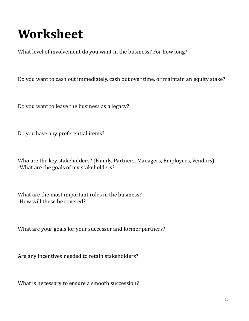# **Worksheet**

What level of involvement do you want in the business? For how long?

Do you want to cash out immediately, cash out over time, or maintain an equity stake?

Do you want to leave the business as a legacy?

Do you have any preferential items?

Who are the key stakeholders? (Family, Partners, Managers, Employees, Vendors) -What are the goals of my stakeholders?

What are the most important roles in the business? -How will these be covered?

What are your goals for your successor and former partners?

Are any incentives needed to retain stakeholders?

What is necessary to ensure a smooth succession?